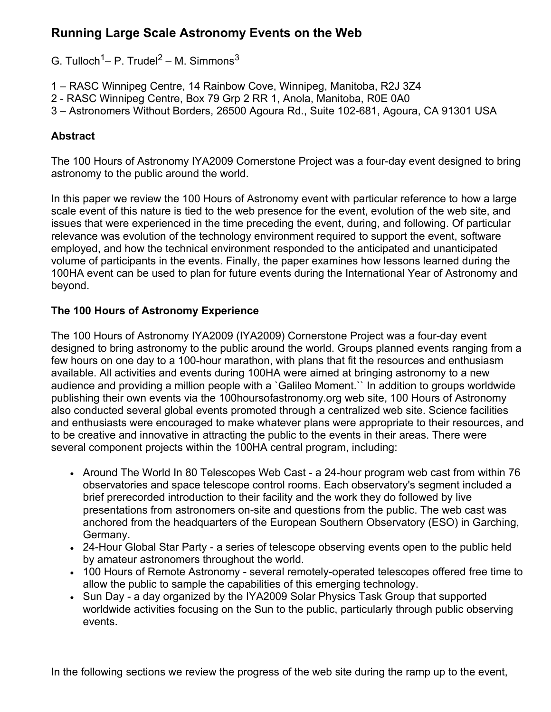# **Running Large Scale Astronomy Events on the Web**

G. Tulloch<sup>1</sup>– P. Trudel<sup>2</sup> – M. Simmons $^3$ 

- 1 RASC Winnipeg Centre, 14 Rainbow Cove, Winnipeg, Manitoba, R2J 3Z4
- 2 RASC Winnipeg Centre, Box 79 Grp 2 RR 1, Anola, Manitoba, R0E 0A0
- 3 Astronomers Without Borders, 26500 Agoura Rd., Suite 102-681, Agoura, CA 91301 USA

## **Abstract**

The 100 Hours of Astronomy IYA2009 Cornerstone Project was a four-day event designed to bring astronomy to the public around the world.

In this paper we review the 100 Hours of Astronomy event with particular reference to how a large scale event of this nature is tied to the web presence for the event, evolution of the web site, and issues that were experienced in the time preceding the event, during, and following. Of particular relevance was evolution of the technology environment required to support the event, software employed, and how the technical environment responded to the anticipated and unanticipated volume of participants in the events. Finally, the paper examines how lessons learned during the 100HA event can be used to plan for future events during the International Year of Astronomy and beyond.

### **The 100 Hours of Astronomy Experience**

The 100 Hours of Astronomy IYA2009 (IYA2009) Cornerstone Project was a four-day event designed to bring astronomy to the public around the world. Groups planned events ranging from a few hours on one day to a 100-hour marathon, with plans that fit the resources and enthusiasm available. All activities and events during 100HA were aimed at bringing astronomy to a new audience and providing a million people with a `Galileo Moment.`` In addition to groups worldwide publishing their own events via the 100hoursofastronomy.org web site, 100 Hours of Astronomy also conducted several global events promoted through a centralized web site. Science facilities and enthusiasts were encouraged to make whatever plans were appropriate to their resources, and to be creative and innovative in attracting the public to the events in their areas. There were several component projects within the 100HA central program, including:

- Around The World In 80 Telescopes Web Cast a 24-hour program web cast from within 76 observatories and space telescope control rooms. Each observatory's segment included a brief prerecorded introduction to their facility and the work they do followed by live presentations from astronomers on-site and questions from the public. The web cast was anchored from the headquarters of the European Southern Observatory (ESO) in Garching, Germany.
- 24-Hour Global Star Party a series of telescope observing events open to the public held by amateur astronomers throughout the world.
- 100 Hours of Remote Astronomy several remotely-operated telescopes offered free time to allow the public to sample the capabilities of this emerging technology.
- Sun Day a day organized by the IYA2009 Solar Physics Task Group that supported worldwide activities focusing on the Sun to the public, particularly through public observing events.

In the following sections we review the progress of the web site during the ramp up to the event,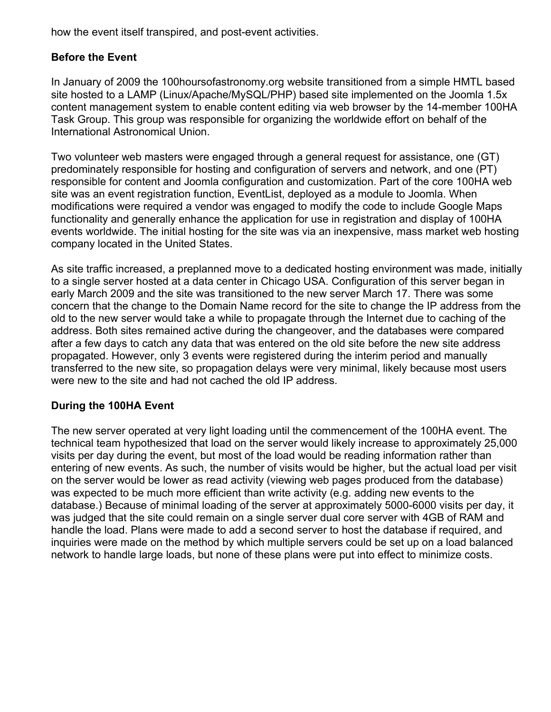how the event itself transpired, and post-event activities.

## **Before the Event**

In January of 2009 the 100hoursofastronomy.org website transitioned from a simple HMTL based site hosted to a LAMP (Linux/Apache/MySQL/PHP) based site implemented on the Joomla 1.5x content management system to enable content editing via web browser by the 14-member 100HA Task Group. This group was responsible for organizing the worldwide effort on behalf of the International Astronomical Union.

Two volunteer web masters were engaged through a general request for assistance, one (GT) predominately responsible for hosting and configuration of servers and network, and one (PT) responsible for content and Joomla configuration and customization. Part of the core 100HA web site was an event registration function, EventList, deployed as a module to Joomla. When modifications were required a vendor was engaged to modify the code to include Google Maps functionality and generally enhance the application for use in registration and display of 100HA events worldwide. The initial hosting for the site was via an inexpensive, mass market web hosting company located in the United States.

As site traffic increased, a preplanned move to a dedicated hosting environment was made, initially to a single server hosted at a data center in Chicago USA. Configuration of this server began in early March 2009 and the site was transitioned to the new server March 17. There was some concern that the change to the Domain Name record for the site to change the IP address from the old to the new server would take a while to propagate through the Internet due to caching of the address. Both sites remained active during the changeover, and the databases were compared after a few days to catch any data that was entered on the old site before the new site address propagated. However, only 3 events were registered during the interim period and manually transferred to the new site, so propagation delays were very minimal, likely because most users were new to the site and had not cached the old IP address.

### **During the 100HA Event**

The new server operated at very light loading until the commencement of the 100HA event. The technical team hypothesized that load on the server would likely increase to approximately 25,000 visits per day during the event, but most of the load would be reading information rather than entering of new events. As such, the number of visits would be higher, but the actual load per visit on the server would be lower as read activity (viewing web pages produced from the database) was expected to be much more efficient than write activity (e.g. adding new events to the database.) Because of minimal loading of the server at approximately 5000-6000 visits per day, it was judged that the site could remain on a single server dual core server with 4GB of RAM and handle the load. Plans were made to add a second server to host the database if required, and inquiries were made on the method by which multiple servers could be set up on a load balanced network to handle large loads, but none of these plans were put into effect to minimize costs.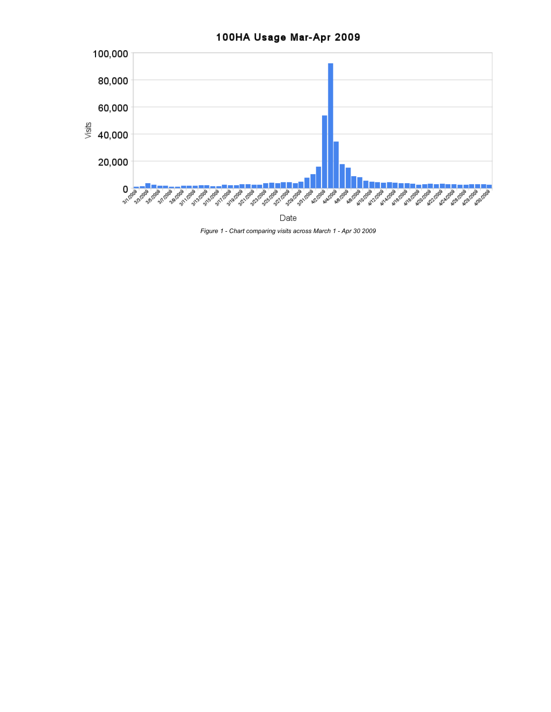

*Figure 1 - Chart comparing visits across March 1 - Apr 30 2009*

# 100HA Usage Mar-Apr 2009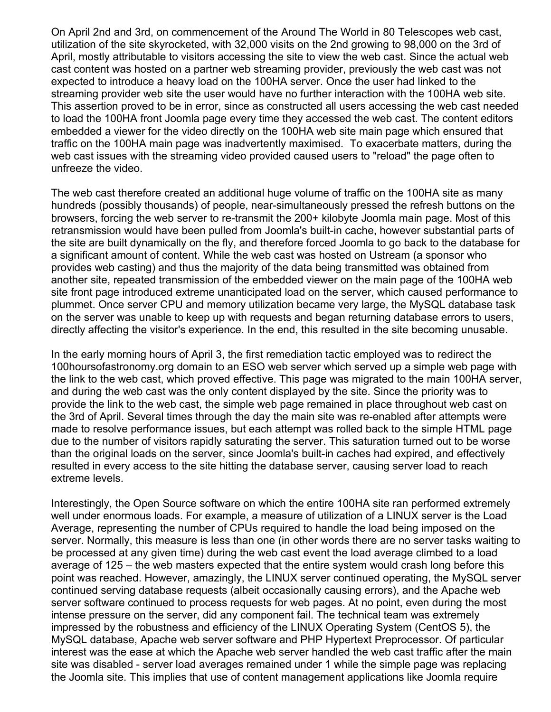On April 2nd and 3rd, on commencement of the Around The World in 80 Telescopes web cast, utilization of the site skyrocketed, with 32,000 visits on the 2nd growing to 98,000 on the 3rd of April, mostly attributable to visitors accessing the site to view the web cast. Since the actual web cast content was hosted on a partner web streaming provider, previously the web cast was not expected to introduce a heavy load on the 100HA server. Once the user had linked to the streaming provider web site the user would have no further interaction with the 100HA web site. This assertion proved to be in error, since as constructed all users accessing the web cast needed to load the 100HA front Joomla page every time they accessed the web cast. The content editors embedded a viewer for the video directly on the 100HA web site main page which ensured that traffic on the 100HA main page was inadvertently maximised. To exacerbate matters, during the web cast issues with the streaming video provided caused users to "reload" the page often to unfreeze the video.

The web cast therefore created an additional huge volume of traffic on the 100HA site as many hundreds (possibly thousands) of people, near-simultaneously pressed the refresh buttons on the browsers, forcing the web server to re-transmit the 200+ kilobyte Joomla main page. Most of this retransmission would have been pulled from Joomla's built-in cache, however substantial parts of the site are built dynamically on the fly, and therefore forced Joomla to go back to the database for a significant amount of content. While the web cast was hosted on Ustream (a sponsor who provides web casting) and thus the majority of the data being transmitted was obtained from another site, repeated transmission of the embedded viewer on the main page of the 100HA web site front page introduced extreme unanticipated load on the server, which caused performance to plummet. Once server CPU and memory utilization became very large, the MySQL database task on the server was unable to keep up with requests and began returning database errors to users, directly affecting the visitor's experience. In the end, this resulted in the site becoming unusable.

In the early morning hours of April 3, the first remediation tactic employed was to redirect the 100hoursofastronomy.org domain to an ESO web server which served up a simple web page with the link to the web cast, which proved effective. This page was migrated to the main 100HA server, and during the web cast was the only content displayed by the site. Since the priority was to provide the link to the web cast, the simple web page remained in place throughout web cast on the 3rd of April. Several times through the day the main site was re-enabled after attempts were made to resolve performance issues, but each attempt was rolled back to the simple HTML page due to the number of visitors rapidly saturating the server. This saturation turned out to be worse than the original loads on the server, since Joomla's built-in caches had expired, and effectively resulted in every access to the site hitting the database server, causing server load to reach extreme levels.

Interestingly, the Open Source software on which the entire 100HA site ran performed extremely well under enormous loads. For example, a measure of utilization of a LINUX server is the Load Average, representing the number of CPUs required to handle the load being imposed on the server. Normally, this measure is less than one (in other words there are no server tasks waiting to be processed at any given time) during the web cast event the load average climbed to a load average of 125 – the web masters expected that the entire system would crash long before this point was reached. However, amazingly, the LINUX server continued operating, the MySQL server continued serving database requests (albeit occasionally causing errors), and the Apache web server software continued to process requests for web pages. At no point, even during the most intense pressure on the server, did any component fail. The technical team was extremely impressed by the robustness and efficiency of the LINUX Operating System (CentOS 5), the MySQL database, Apache web server software and PHP Hypertext Preprocessor. Of particular interest was the ease at which the Apache web server handled the web cast traffic after the main site was disabled - server load averages remained under 1 while the simple page was replacing the Joomla site. This implies that use of content management applications like Joomla require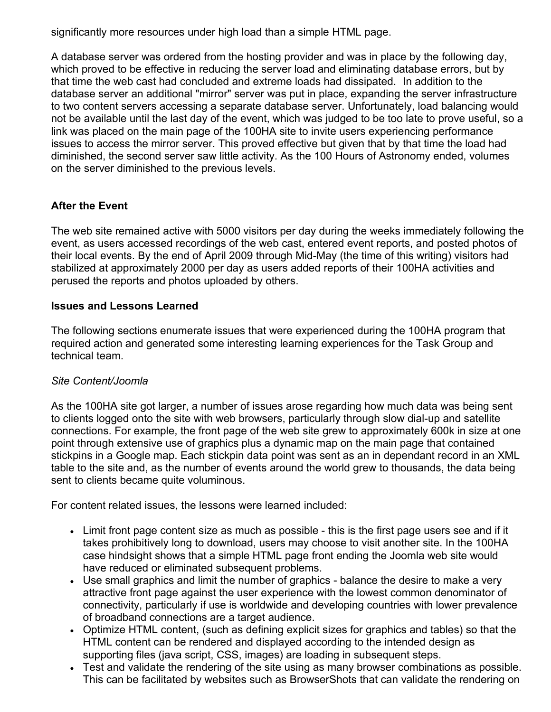significantly more resources under high load than a simple HTML page.

A database server was ordered from the hosting provider and was in place by the following day, which proved to be effective in reducing the server load and eliminating database errors, but by that time the web cast had concluded and extreme loads had dissipated. In addition to the database server an additional "mirror" server was put in place, expanding the server infrastructure to two content servers accessing a separate database server. Unfortunately, load balancing would not be available until the last day of the event, which was judged to be too late to prove useful, so a link was placed on the main page of the 100HA site to invite users experiencing performance issues to access the mirror server. This proved effective but given that by that time the load had diminished, the second server saw little activity. As the 100 Hours of Astronomy ended, volumes on the server diminished to the previous levels.

## **After the Event**

The web site remained active with 5000 visitors per day during the weeks immediately following the event, as users accessed recordings of the web cast, entered event reports, and posted photos of their local events. By the end of April 2009 through Mid-May (the time of this writing) visitors had stabilized at approximately 2000 per day as users added reports of their 100HA activities and perused the reports and photos uploaded by others.

#### **Issues and Lessons Learned**

The following sections enumerate issues that were experienced during the 100HA program that required action and generated some interesting learning experiences for the Task Group and technical team.

### *Site Content/Joomla*

As the 100HA site got larger, a number of issues arose regarding how much data was being sent to clients logged onto the site with web browsers, particularly through slow dial-up and satellite connections. For example, the front page of the web site grew to approximately 600k in size at one point through extensive use of graphics plus a dynamic map on the main page that contained stickpins in a Google map. Each stickpin data point was sent as an in dependant record in an XML table to the site and, as the number of events around the world grew to thousands, the data being sent to clients became quite voluminous.

For content related issues, the lessons were learned included:

- Limit front page content size as much as possible this is the first page users see and if it takes prohibitively long to download, users may choose to visit another site. In the 100HA case hindsight shows that a simple HTML page front ending the Joomla web site would have reduced or eliminated subsequent problems.
- Use small graphics and limit the number of graphics balance the desire to make a very attractive front page against the user experience with the lowest common denominator of connectivity, particularly if use is worldwide and developing countries with lower prevalence of broadband connections are a target audience.
- Optimize HTML content, (such as defining explicit sizes for graphics and tables) so that the HTML content can be rendered and displayed according to the intended design as supporting files (java script, CSS, images) are loading in subsequent steps.
- Test and validate the rendering of the site using as many browser combinations as possible. This can be facilitated by websites such as BrowserShots that can validate the rendering on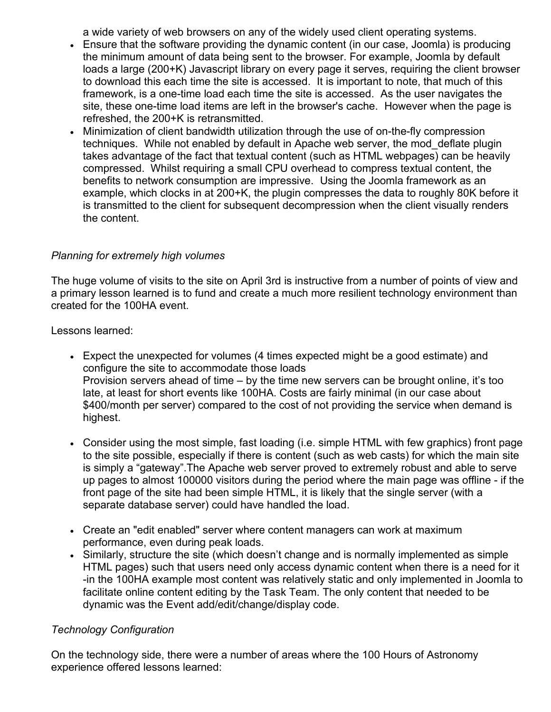a wide variety of web browsers on any of the widely used client operating systems.

- Ensure that the software providing the dynamic content (in our case, Joomla) is producing the minimum amount of data being sent to the browser. For example, Joomla by default loads a large (200+K) Javascript library on every page it serves, requiring the client browser to download this each time the site is accessed. It is important to note, that much of this framework, is a one-time load each time the site is accessed. As the user navigates the site, these one-time load items are left in the browser's cache. However when the page is refreshed, the 200+K is retransmitted.
- Minimization of client bandwidth utilization through the use of on-the-fly compression techniques. While not enabled by default in Apache web server, the mod\_deflate plugin takes advantage of the fact that textual content (such as HTML webpages) can be heavily compressed. Whilst requiring a small CPU overhead to compress textual content, the benefits to network consumption are impressive. Using the Joomla framework as an example, which clocks in at 200+K, the plugin compresses the data to roughly 80K before it is transmitted to the client for subsequent decompression when the client visually renders the content.

#### *Planning for extremely high volumes*

The huge volume of visits to the site on April 3rd is instructive from a number of points of view and a primary lesson learned is to fund and create a much more resilient technology environment than created for the 100HA event.

Lessons learned:

- Expect the unexpected for volumes (4 times expected might be a good estimate) and configure the site to accommodate those loads Provision servers ahead of time – by the time new servers can be brought online, it's too late, at least for short events like 100HA. Costs are fairly minimal (in our case about \$400/month per server) compared to the cost of not providing the service when demand is highest.
- Consider using the most simple, fast loading (i.e. simple HTML with few graphics) front page to the site possible, especially if there is content (such as web casts) for which the main site is simply a "gateway".The Apache web server proved to extremely robust and able to serve up pages to almost 100000 visitors during the period where the main page was offline - if the front page of the site had been simple HTML, it is likely that the single server (with a separate database server) could have handled the load.
- Create an "edit enabled" server where content managers can work at maximum performance, even during peak loads.
- Similarly, structure the site (which doesn't change and is normally implemented as simple HTML pages) such that users need only access dynamic content when there is a need for it -in the 100HA example most content was relatively static and only implemented in Joomla to facilitate online content editing by the Task Team. The only content that needed to be dynamic was the Event add/edit/change/display code.

#### *Technology Configuration*

On the technology side, there were a number of areas where the 100 Hours of Astronomy experience offered lessons learned: